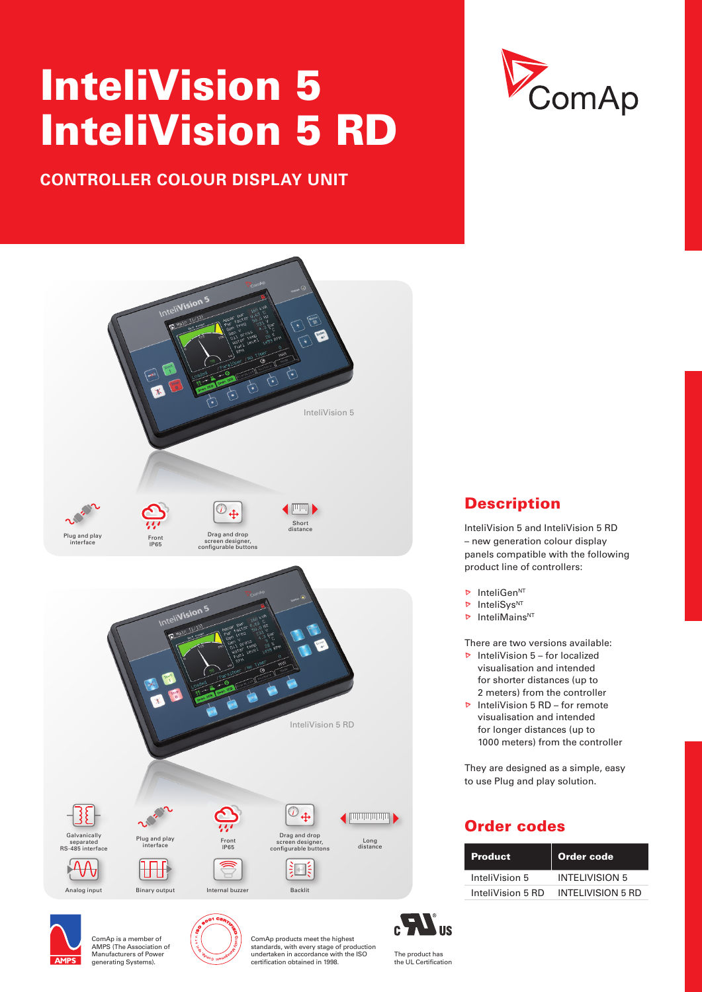# InteliVision 5 InteliVision 5 RD

# **CONTROLLER COLOUR DISPLAY UNIT**





# **Description**

InteliVision 5 and InteliVision 5 RD – new generation colour display panels compatible with the following product line of controllers:

- $\triangleright$  InteliGen<sup>NT</sup>
- **D** InteliSys<sup>NT</sup>
- $\triangleright$  InteliMains<sup>NT</sup>

There are two versions available:

- $\triangleright$  InteliVision 5 for localized visualisation and intended for shorter distances (up to 2 meters) from the controller
- $\triangleright$  InteliVision 5 RD for remote visualisation and intended for longer distances (up to 1000 meters) from the controller

They are designed as a simple, easy to use Plug and play solution.

## Order codes

| <b>Product</b>    | Order code               |  |  |
|-------------------|--------------------------|--|--|
| InteliVision 5    | <b>INTELIVISION 5</b>    |  |  |
| InteliVision 5 RD | <b>INTELIVISION 5 RD</b> |  |  |



ComAp is a member of AMPS (The Association of Manufacturers of Power generating Systems).



ComAp products meet the highest standards, with every stage of production undertaken in accordance with the ISO certification obtained in 1998.

The product has the UL Certification